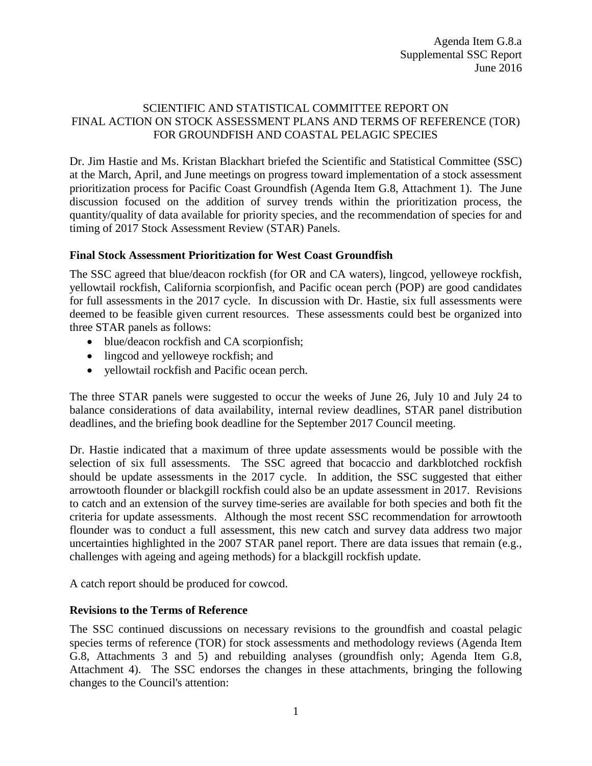## SCIENTIFIC AND STATISTICAL COMMITTEE REPORT ON FINAL ACTION ON STOCK ASSESSMENT PLANS AND TERMS OF REFERENCE (TOR) FOR GROUNDFISH AND COASTAL PELAGIC SPECIES

Dr. Jim Hastie and Ms. Kristan Blackhart briefed the Scientific and Statistical Committee (SSC) at the March, April, and June meetings on progress toward implementation of a stock assessment prioritization process for Pacific Coast Groundfish (Agenda Item G.8, Attachment 1). The June discussion focused on the addition of survey trends within the prioritization process, the quantity/quality of data available for priority species, and the recommendation of species for and timing of 2017 Stock Assessment Review (STAR) Panels.

## **Final Stock Assessment Prioritization for West Coast Groundfish**

The SSC agreed that blue/deacon rockfish (for OR and CA waters), lingcod, yelloweye rockfish, yellowtail rockfish, California scorpionfish, and Pacific ocean perch (POP) are good candidates for full assessments in the 2017 cycle. In discussion with Dr. Hastie, six full assessments were deemed to be feasible given current resources. These assessments could best be organized into three STAR panels as follows:

- blue/deacon rockfish and CA scorpionfish;
- lingcod and yelloweye rockfish; and
- yellowtail rockfish and Pacific ocean perch.

The three STAR panels were suggested to occur the weeks of June 26, July 10 and July 24 to balance considerations of data availability, internal review deadlines, STAR panel distribution deadlines, and the briefing book deadline for the September 2017 Council meeting.

Dr. Hastie indicated that a maximum of three update assessments would be possible with the selection of six full assessments. The SSC agreed that bocaccio and darkblotched rockfish should be update assessments in the 2017 cycle. In addition, the SSC suggested that either arrowtooth flounder or blackgill rockfish could also be an update assessment in 2017. Revisions to catch and an extension of the survey time-series are available for both species and both fit the criteria for update assessments. Although the most recent SSC recommendation for arrowtooth flounder was to conduct a full assessment, this new catch and survey data address two major uncertainties highlighted in the 2007 STAR panel report. There are data issues that remain (e.g., challenges with ageing and ageing methods) for a blackgill rockfish update.

A catch report should be produced for cowcod.

## **Revisions to the Terms of Reference**

The SSC continued discussions on necessary revisions to the groundfish and coastal pelagic species terms of reference (TOR) for stock assessments and methodology reviews (Agenda Item G.8, Attachments 3 and 5) and rebuilding analyses (groundfish only; Agenda Item G.8, Attachment 4). The SSC endorses the changes in these attachments, bringing the following changes to the Council's attention: